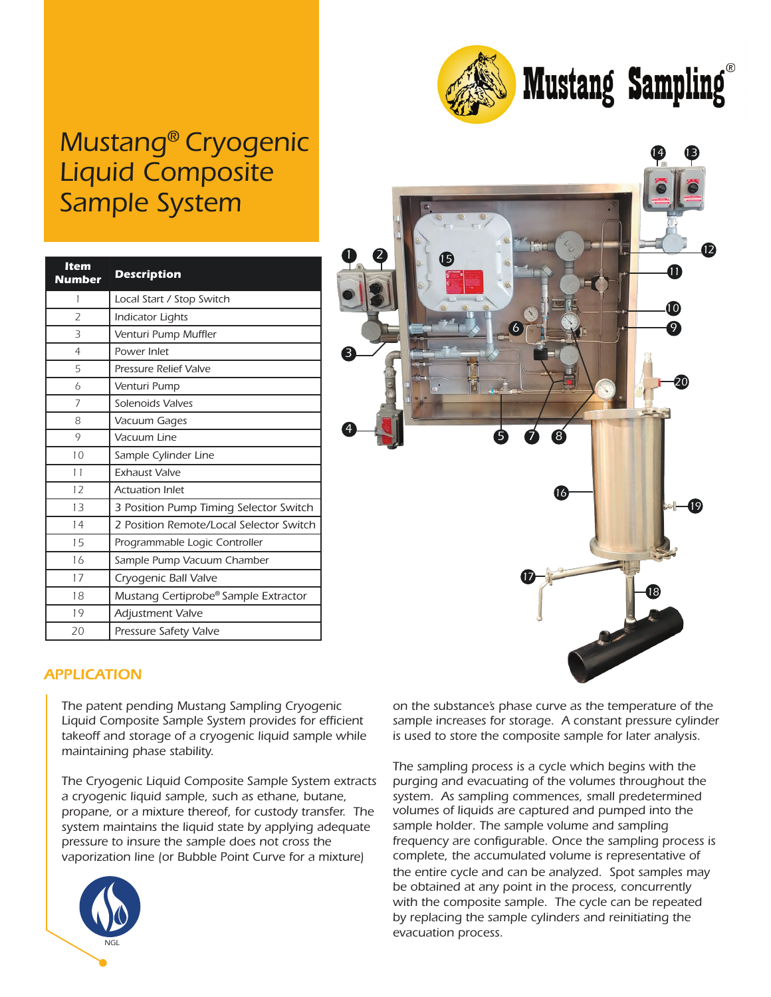

# *Mustang® Cryogenic Liquid Composite Sample System*

| <b>Item</b><br><b>Number</b> | <b>Description</b>                      |
|------------------------------|-----------------------------------------|
| 1                            | Local Start / Stop Switch               |
| $\overline{\phantom{a}}$     | <b>Indicator Lights</b>                 |
| 3                            | Venturi Pump Muffler                    |
| $\overline{4}$               | Power Inlet                             |
| 5                            | <b>Pressure Relief Valve</b>            |
| 6                            | Venturi Pump                            |
| $\overline{7}$               | Solenoids Valves                        |
| 8                            | Vacuum Gages                            |
| 9                            | Vacuum Line                             |
| 10                           | Sample Cylinder Line                    |
| 11                           | <b>Exhaust Valve</b>                    |
| 12                           | <b>Actuation Inlet</b>                  |
| 13                           | 3 Position Pump Timing Selector Switch  |
| 14                           | 2 Position Remote/Local Selector Switch |
| 15                           | Programmable Logic Controller           |
| 16                           | Sample Pump Vacuum Chamber              |
| 17                           | Cryogenic Ball Valve                    |
| 18                           | Mustang Certiprobe® Sample Extractor    |
| 19                           | <b>Adjustment Valve</b>                 |
| 20                           | Pressure Safety Valve                   |



## *APPLICATION*

*The patent pending Mustang Sampling Cryogenic Liquid Composite Sample System provides for efficient takeoff and storage of a cryogenic liquid sample while maintaining phase stability.*

*The Cryogenic Liquid Composite Sample System extracts a cryogenic liquid sample, such as ethane, butane, propane, or a mixture thereof, for custody transfer. The system maintains the liquid state by applying adequate pressure to insure the sample does not cross the vaporization line (or Bubble Point Curve for a mixture)* 



*on the substance's phase curve as the temperature of the sample increases for storage. A constant pressure cylinder is used to store the composite sample for later analysis.*

*The sampling process is a cycle which begins with the purging and evacuating of the volumes throughout the system.* As sampling commences, small predetermined volumes of liquids are captured and pumped into the sample holder. The sample volume and sampling frequency are configurable. Once the sampling process is complete, the accumulated volume is representative of the entire cycle and can be analyzed. *Spot samples may be obtained at any point in the process, concurrently with the composite sample. The cycle can be repeated by replacing the sample cylinders and reinitiating the evacuation process.*